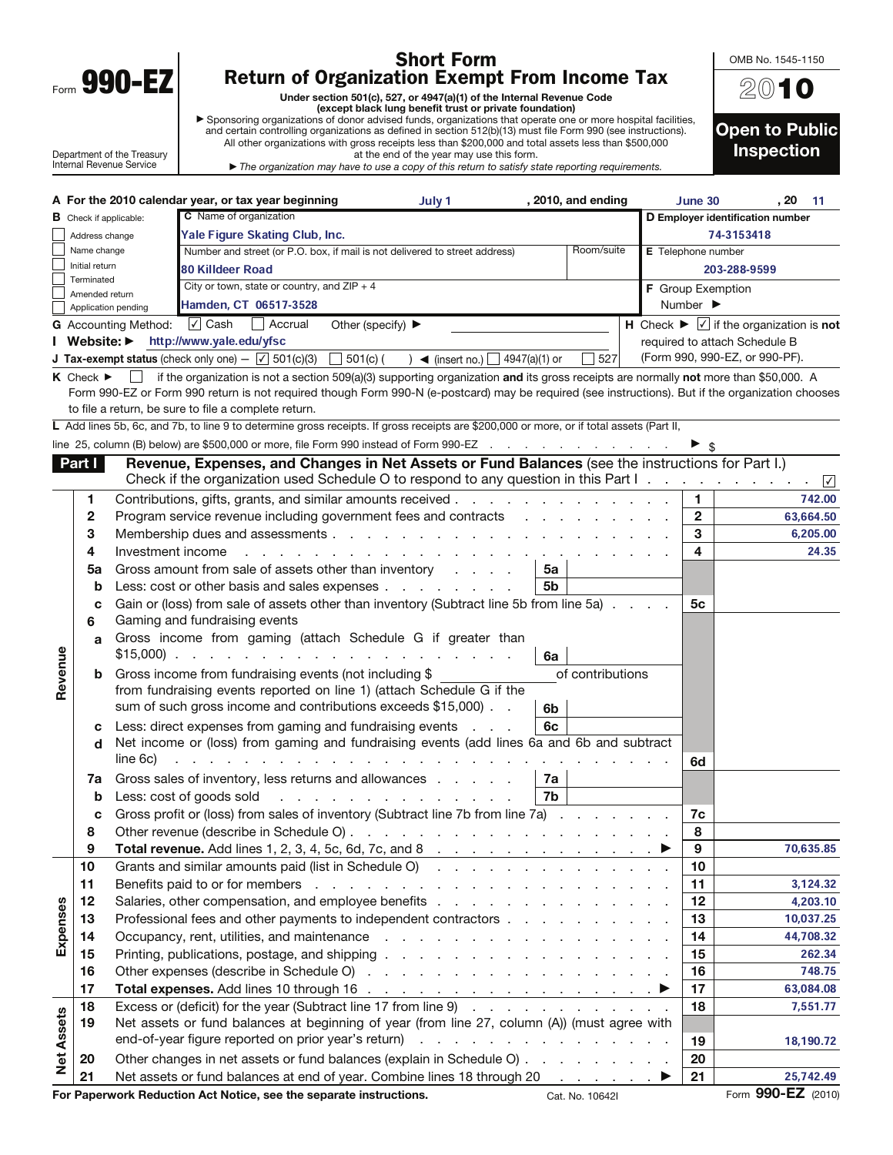| Form | ١<br>ú<br>п |  |
|------|-------------|--|

 $\mathbf{I}$ 

## Shor<u>t</u> Form Return of Organization Exempt From Income Tax

Under section 501(c), 527, or 4947(a)(1) of the Internal Revenue Code<br>● except black lung benefit trust or private foundation)<br>● Sponsoring organizations of donor advised funds, organizations that operate one or more hosp

| Sponsoring organizations of donor advised funds, organizations that operate one or more hospital facilities,  |  |
|---------------------------------------------------------------------------------------------------------------|--|
| and certain controlling organizations as defined in section 512(b)(13) must file Form 990 (see instructions). |  |
| All other organizations with gross receipts less than \$200,000 and total assets less than \$500,000          |  |
| at the end of the year may use this form                                                                      |  |

Department of the Treasury Internal Revenue Service

at the end of the year may use this form. The organization may have to use a copy of this return to satisfy state reporting requirements.

| 2010                                       |
|--------------------------------------------|
| <b>Open to Public</b><br><b>Inspection</b> |

OMB No. 1545-1150

|                   |                                 |                             | A For the 2010 calendar year, or tax year beginning                                                                                                                                                                                                                                                                                               | July 1                     | , 2010, and ending                                                                                              | June 30                      | . 20<br>-11                                                                           |
|-------------------|---------------------------------|-----------------------------|---------------------------------------------------------------------------------------------------------------------------------------------------------------------------------------------------------------------------------------------------------------------------------------------------------------------------------------------------|----------------------------|-----------------------------------------------------------------------------------------------------------------|------------------------------|---------------------------------------------------------------------------------------|
|                   | <b>B</b> Check if applicable:   |                             | C Name of organization                                                                                                                                                                                                                                                                                                                            |                            |                                                                                                                 |                              | D Employer identification number                                                      |
|                   | Address change                  |                             |                                                                                                                                                                                                                                                                                                                                                   | 74-3153418                 |                                                                                                                 |                              |                                                                                       |
|                   | Name change                     |                             | Number and street (or P.O. box, if mail is not delivered to street address)                                                                                                                                                                                                                                                                       |                            | Room/suite                                                                                                      | E Telephone number           |                                                                                       |
|                   | Initial return                  |                             | <b>80 Killdeer Road</b>                                                                                                                                                                                                                                                                                                                           |                            |                                                                                                                 |                              | 203-288-9599                                                                          |
|                   | Terminated<br>Amended return    |                             | City or town, state or country, and $ZIP + 4$                                                                                                                                                                                                                                                                                                     |                            |                                                                                                                 | <b>F</b> Group Exemption     |                                                                                       |
|                   |                                 | Application pending         | Hamden, CT 06517-3528                                                                                                                                                                                                                                                                                                                             |                            |                                                                                                                 | Number $\blacktriangleright$ |                                                                                       |
|                   |                                 | <b>G</b> Accounting Method: | $\sqrt{ }$ Cash<br>Accrual<br>Other (specify) $\blacktriangleright$                                                                                                                                                                                                                                                                               |                            |                                                                                                                 |                              | $\overline{H}$ Check $\blacktriangleright \overline{\vee}$ if the organization is not |
|                   | I Website: ▶                    |                             | http://www.yale.edu/yfsc                                                                                                                                                                                                                                                                                                                          |                            |                                                                                                                 |                              | required to attach Schedule B                                                         |
|                   |                                 |                             | <b>J Tax-exempt status</b> (check only one) $-\sqrt{ }$ 501(c)(3)<br>$\Box$ 501(c) (                                                                                                                                                                                                                                                              | $\rightarrow$ (insert no.) | 527<br>4947(a)(1) or                                                                                            |                              | (Form 990, 990-EZ, or 990-PF).                                                        |
|                   | $K$ Check $\blacktriangleright$ |                             | if the organization is not a section 509(a)(3) supporting organization and its gross receipts are normally not more than \$50,000. A<br>Form 990-EZ or Form 990 return is not required though Form 990-N (e-postcard) may be required (see instructions). But if the organization chooses<br>to file a return, be sure to file a complete return. |                            |                                                                                                                 |                              |                                                                                       |
|                   |                                 |                             | L Add lines 5b, 6c, and 7b, to line 9 to determine gross receipts. If gross receipts are \$200,000 or more, or if total assets (Part II,                                                                                                                                                                                                          |                            |                                                                                                                 |                              |                                                                                       |
|                   |                                 |                             | line 25, column (B) below) are \$500,000 or more, file Form 990 instead of Form 990-EZ                                                                                                                                                                                                                                                            |                            |                                                                                                                 |                              |                                                                                       |
|                   | Part I                          |                             | Revenue, Expenses, and Changes in Net Assets or Fund Balances (see the instructions for Part I.)                                                                                                                                                                                                                                                  |                            |                                                                                                                 |                              |                                                                                       |
|                   |                                 |                             | Check if the organization used Schedule O to respond to any question in this Part I.                                                                                                                                                                                                                                                              |                            |                                                                                                                 |                              | $\vert \sqrt{\vert}$                                                                  |
|                   | 1                               |                             | Contributions, gifts, grants, and similar amounts received.                                                                                                                                                                                                                                                                                       |                            | the contract of the contract of the contract of the contract of the contract of the contract of the contract of | 1                            | 742.00                                                                                |
|                   | 2                               |                             | Program service revenue including government fees and contracts                                                                                                                                                                                                                                                                                   |                            |                                                                                                                 | $\mathbf{2}$                 | 63,664.50                                                                             |
|                   | 3                               |                             | Membership dues and assessments                                                                                                                                                                                                                                                                                                                   | and a state of the         |                                                                                                                 | 3                            | 6,205.00                                                                              |
|                   | 4                               | Investment income           |                                                                                                                                                                                                                                                                                                                                                   |                            |                                                                                                                 | 4                            | 24.35                                                                                 |
|                   | 5a                              |                             | Gross amount from sale of assets other than inventory                                                                                                                                                                                                                                                                                             |                            | 5a                                                                                                              |                              |                                                                                       |
|                   | b                               |                             | Less: cost or other basis and sales expenses                                                                                                                                                                                                                                                                                                      |                            | 5b                                                                                                              |                              |                                                                                       |
|                   | c<br>6                          |                             | Gain or (loss) from sale of assets other than inventory (Subtract line 5b from line 5a)<br>Gaming and fundraising events                                                                                                                                                                                                                          |                            |                                                                                                                 | 5с                           |                                                                                       |
|                   | a                               | $$15,000$ ).                | Gross income from gaming (attach Schedule G if greater than<br>the contract of the contract of the contract of the contract of the contract of the contract of the contract of                                                                                                                                                                    |                            | 6a                                                                                                              |                              |                                                                                       |
| Revenue           | b                               |                             | Gross income from fundraising events (not including \$                                                                                                                                                                                                                                                                                            |                            | of contributions                                                                                                |                              |                                                                                       |
|                   |                                 |                             | from fundraising events reported on line 1) (attach Schedule G if the                                                                                                                                                                                                                                                                             |                            |                                                                                                                 |                              |                                                                                       |
|                   |                                 |                             | sum of such gross income and contributions exceeds \$15,000).                                                                                                                                                                                                                                                                                     |                            | 6b                                                                                                              |                              |                                                                                       |
|                   | с                               |                             | Less: direct expenses from gaming and fundraising events                                                                                                                                                                                                                                                                                          | and a state                | 6c                                                                                                              |                              |                                                                                       |
|                   | d                               |                             | Net income or (loss) from gaming and fundraising events (add lines 6a and 6b and subtract                                                                                                                                                                                                                                                         |                            |                                                                                                                 |                              |                                                                                       |
|                   |                                 | line 6c)                    |                                                                                                                                                                                                                                                                                                                                                   |                            |                                                                                                                 | 6d                           |                                                                                       |
|                   | 7a                              |                             | Gross sales of inventory, less returns and allowances                                                                                                                                                                                                                                                                                             |                            | 7a                                                                                                              |                              |                                                                                       |
|                   | b                               |                             | Less: cost of goods sold                                                                                                                                                                                                                                                                                                                          |                            | 7b                                                                                                              |                              |                                                                                       |
|                   | c                               |                             | Gross profit or (loss) from sales of inventory (Subtract line 7b from line 7a)                                                                                                                                                                                                                                                                    |                            |                                                                                                                 | 7с                           |                                                                                       |
|                   | 8                               |                             | Other revenue (describe in Schedule O)                                                                                                                                                                                                                                                                                                            |                            |                                                                                                                 | 8                            |                                                                                       |
|                   | 9                               |                             |                                                                                                                                                                                                                                                                                                                                                   |                            |                                                                                                                 | 9                            | 70,635.85                                                                             |
|                   | 10                              |                             | Grants and similar amounts paid (list in Schedule O)                                                                                                                                                                                                                                                                                              |                            |                                                                                                                 | 10                           |                                                                                       |
|                   | 11                              |                             |                                                                                                                                                                                                                                                                                                                                                   |                            |                                                                                                                 | 11                           | 3,124.32                                                                              |
|                   | 12                              |                             |                                                                                                                                                                                                                                                                                                                                                   |                            |                                                                                                                 | 12                           | 4,203.10                                                                              |
| Expenses          | 13                              |                             | Professional fees and other payments to independent contractors                                                                                                                                                                                                                                                                                   |                            |                                                                                                                 | 13                           | 10,037.25                                                                             |
|                   | 14                              |                             |                                                                                                                                                                                                                                                                                                                                                   |                            |                                                                                                                 | 14                           | 44,708.32                                                                             |
|                   | 15                              |                             |                                                                                                                                                                                                                                                                                                                                                   |                            |                                                                                                                 | 15                           | 262.34                                                                                |
|                   | 16                              |                             |                                                                                                                                                                                                                                                                                                                                                   |                            |                                                                                                                 | 16                           | 748.75                                                                                |
|                   | 17                              |                             |                                                                                                                                                                                                                                                                                                                                                   |                            |                                                                                                                 | 17                           | 63,084.08                                                                             |
|                   | 18                              |                             | Excess or (deficit) for the year (Subtract line 17 from line 9)                                                                                                                                                                                                                                                                                   |                            |                                                                                                                 | 18                           | 7,551.77                                                                              |
| <b>Net Assets</b> | 19                              |                             | Net assets or fund balances at beginning of year (from line 27, column (A)) (must agree with                                                                                                                                                                                                                                                      |                            |                                                                                                                 |                              |                                                                                       |
|                   |                                 |                             |                                                                                                                                                                                                                                                                                                                                                   |                            |                                                                                                                 | 19                           | 18,190.72                                                                             |
|                   | 20                              |                             | Other changes in net assets or fund balances (explain in Schedule O)                                                                                                                                                                                                                                                                              |                            |                                                                                                                 | 20                           |                                                                                       |
|                   | 21                              |                             | Net assets or fund belances at end of year. Combine lines 18 through 20                                                                                                                                                                                                                                                                           |                            |                                                                                                                 | 21                           | 25 742 49                                                                             |

20 Other changes in net assets or fund balances (explain in Schedule O)  $\ldots$  . . . . . . . . 20 21 Net assets or fund balances at end of year. Combine lines 18 through 20  $\ldots$   $\blacktriangleright$  21

25,742.49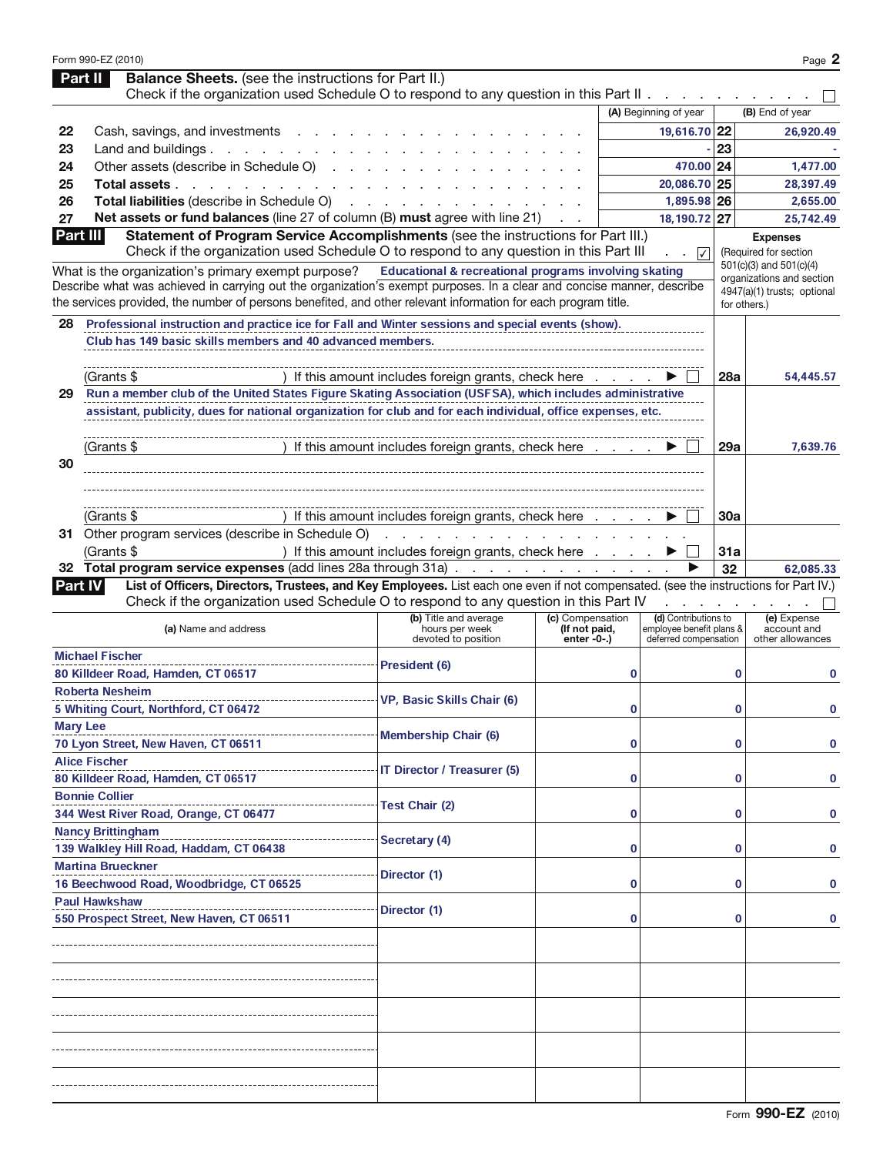|                | Form 990-EZ (2010)                                                                                                                                                                                                       |                                                                                                                 |                                   |                                                  |          | Page 2                                               |
|----------------|--------------------------------------------------------------------------------------------------------------------------------------------------------------------------------------------------------------------------|-----------------------------------------------------------------------------------------------------------------|-----------------------------------|--------------------------------------------------|----------|------------------------------------------------------|
|                | <b>Balance Sheets.</b> (see the instructions for Part II.)<br>Part II<br>Check if the organization used Schedule O to respond to any question in this Part II.                                                           |                                                                                                                 |                                   |                                                  |          |                                                      |
|                |                                                                                                                                                                                                                          |                                                                                                                 |                                   | (A) Beginning of year                            |          | (B) End of year                                      |
| 22             | Cash, savings, and investments                                                                                                                                                                                           |                                                                                                                 |                                   | 19.616.70 22                                     |          | 26,920.49                                            |
| 23             | Land and buildings.<br>and the company of the company of                                                                                                                                                                 |                                                                                                                 |                                   |                                                  | 23       |                                                      |
| 24             | Other assets (describe in Schedule O)<br><b>Contract Contract</b>                                                                                                                                                        |                                                                                                                 |                                   | 470.00 24                                        |          | 1,477.00                                             |
| 25             | Total assets.<br>and a state of the state                                                                                                                                                                                |                                                                                                                 |                                   | 20,086.70 25                                     |          | 28,397.49                                            |
| 26             | Total liabilities (describe in Schedule O)                                                                                                                                                                               |                                                                                                                 |                                   | 1,895.98 26                                      |          | 2,655.00                                             |
| 27             | Net assets or fund balances (line 27 of column (B) must agree with line 21)                                                                                                                                              |                                                                                                                 |                                   | 18,190.72 27                                     |          | 25,742.49                                            |
| Part III       | Statement of Program Service Accomplishments (see the instructions for Part III.)                                                                                                                                        |                                                                                                                 |                                   |                                                  |          | <b>Expenses</b>                                      |
|                | Check if the organization used Schedule O to respond to any question in this Part III                                                                                                                                    |                                                                                                                 |                                   | $\overline{\sqrt{2}}$<br>a na                    |          | (Required for section                                |
|                | What is the organization's primary exempt purpose?                                                                                                                                                                       | Educational & recreational programs involving skating                                                           |                                   |                                                  |          | 501(c)(3) and 501(c)(4)<br>organizations and section |
|                | Describe what was achieved in carrying out the organization's exempt purposes. In a clear and concise manner, describe                                                                                                   |                                                                                                                 |                                   |                                                  |          | 4947(a)(1) trusts; optional                          |
|                | the services provided, the number of persons benefited, and other relevant information for each program title.                                                                                                           |                                                                                                                 |                                   |                                                  |          | for others.)                                         |
| 28             | Professional instruction and practice ice for Fall and Winter sessions and special events (show).                                                                                                                        |                                                                                                                 |                                   |                                                  |          |                                                      |
|                | Club has 149 basic skills members and 40 advanced members.                                                                                                                                                               |                                                                                                                 |                                   |                                                  |          |                                                      |
|                |                                                                                                                                                                                                                          |                                                                                                                 |                                   |                                                  |          |                                                      |
|                | (Grants \$                                                                                                                                                                                                               | If this amount includes foreign grants, check here .                                                            |                                   |                                                  | 28a      | 54,445.57                                            |
| 29             | Run a member club of the United States Figure Skating Association (USFSA), which includes administrative<br>assistant, publicity, dues for national organization for club and for each individual, office expenses, etc. |                                                                                                                 |                                   |                                                  |          |                                                      |
|                |                                                                                                                                                                                                                          |                                                                                                                 |                                   |                                                  |          |                                                      |
|                | (Grants \$                                                                                                                                                                                                               | If this amount includes foreign grants, check here                                                              |                                   |                                                  | 29a      | 7,639.76                                             |
| 30             |                                                                                                                                                                                                                          |                                                                                                                 |                                   |                                                  |          |                                                      |
|                |                                                                                                                                                                                                                          |                                                                                                                 |                                   |                                                  |          |                                                      |
|                |                                                                                                                                                                                                                          |                                                                                                                 |                                   |                                                  |          |                                                      |
|                | (Grants \$                                                                                                                                                                                                               | If this amount includes foreign grants, check here                                                              |                                   |                                                  | 30a      |                                                      |
|                | 31 Other program services (describe in Schedule O)                                                                                                                                                                       | and the state of the state of the state of the state of the state of the state of the state of the state of the |                                   |                                                  |          |                                                      |
|                | (Grants \$                                                                                                                                                                                                               | ) If this amount includes foreign grants, check here                                                            |                                   |                                                  | 31a      |                                                      |
|                | 32 Total program service expenses (add lines 28a through 31a)                                                                                                                                                            |                                                                                                                 |                                   |                                                  | 32       | 62,085.33                                            |
| <b>Part IV</b> | List of Officers, Directors, Trustees, and Key Employees. List each one even if not compensated. (see the instructions for Part IV.)                                                                                     |                                                                                                                 |                                   |                                                  |          |                                                      |
|                | Check if the organization used Schedule O to respond to any question in this Part IV                                                                                                                                     |                                                                                                                 |                                   |                                                  |          |                                                      |
|                | (a) Name and address                                                                                                                                                                                                     | (b) Title and average<br>hours per week                                                                         | (c) Compensation<br>(If not paid, | (d) Contributions to<br>employee benefit plans & |          | (e) Expense<br>account and                           |
|                |                                                                                                                                                                                                                          | devoted to position                                                                                             | enter $-0$ -.)                    | deferred compensation                            |          | other allowances                                     |
|                | <b>Michael Fischer</b><br>80 Killdeer Road, Hamden, CT 06517                                                                                                                                                             | President (6)                                                                                                   | 0                                 |                                                  | $\bf{0}$ | 0                                                    |
|                | <b>Roberta Nesheim</b>                                                                                                                                                                                                   |                                                                                                                 |                                   |                                                  |          |                                                      |
|                | 5 Whiting Court, Northford, CT 06472                                                                                                                                                                                     | VP, Basic Skills Chair (6)                                                                                      | 0                                 |                                                  | 0        | 0                                                    |
|                | <b>Mary Lee</b>                                                                                                                                                                                                          |                                                                                                                 |                                   |                                                  |          |                                                      |
|                | 70 Lyon Street, New Haven, CT 06511                                                                                                                                                                                      | <b>Membership Chair (6)</b>                                                                                     |                                   |                                                  | 0        | 0                                                    |
|                | <b>Alice Fischer</b>                                                                                                                                                                                                     |                                                                                                                 | 0                                 |                                                  |          |                                                      |
|                | 80 Killdeer Road, Hamden, CT 06517                                                                                                                                                                                       | <b>IT Director / Treasurer (5)</b>                                                                              | 0                                 |                                                  | 0        | 0                                                    |
|                | <b>Bonnie Collier</b>                                                                                                                                                                                                    |                                                                                                                 |                                   |                                                  |          |                                                      |
|                | 344 West River Road, Orange, CT 06477                                                                                                                                                                                    | <b>Test Chair (2)</b>                                                                                           | 0                                 |                                                  | 0        | 0                                                    |
|                | <b>Nancy Brittingham</b>                                                                                                                                                                                                 | Secretary (4)                                                                                                   |                                   |                                                  |          |                                                      |
|                | 139 Walkley Hill Road, Haddam, CT 06438                                                                                                                                                                                  |                                                                                                                 | 0                                 |                                                  | 0        | 0                                                    |
|                | <b>Martina Brueckner</b>                                                                                                                                                                                                 | Director (1)                                                                                                    |                                   |                                                  |          |                                                      |
|                | 16 Beechwood Road, Woodbridge, CT 06525                                                                                                                                                                                  |                                                                                                                 | 0                                 |                                                  | 0        | 0                                                    |
|                | <b>Paul Hawkshaw</b>                                                                                                                                                                                                     | Director (1)                                                                                                    |                                   |                                                  |          |                                                      |
|                | 550 Prospect Street, New Haven, CT 06511                                                                                                                                                                                 |                                                                                                                 | 0                                 |                                                  | 0        | 0                                                    |
|                |                                                                                                                                                                                                                          |                                                                                                                 |                                   |                                                  |          |                                                      |
|                |                                                                                                                                                                                                                          |                                                                                                                 |                                   |                                                  |          |                                                      |
|                |                                                                                                                                                                                                                          |                                                                                                                 |                                   |                                                  |          |                                                      |
|                |                                                                                                                                                                                                                          |                                                                                                                 |                                   |                                                  |          |                                                      |
|                |                                                                                                                                                                                                                          |                                                                                                                 |                                   |                                                  |          |                                                      |
|                |                                                                                                                                                                                                                          |                                                                                                                 |                                   |                                                  |          |                                                      |
|                |                                                                                                                                                                                                                          |                                                                                                                 |                                   |                                                  |          |                                                      |
|                |                                                                                                                                                                                                                          |                                                                                                                 |                                   |                                                  |          |                                                      |
|                |                                                                                                                                                                                                                          |                                                                                                                 |                                   |                                                  |          |                                                      |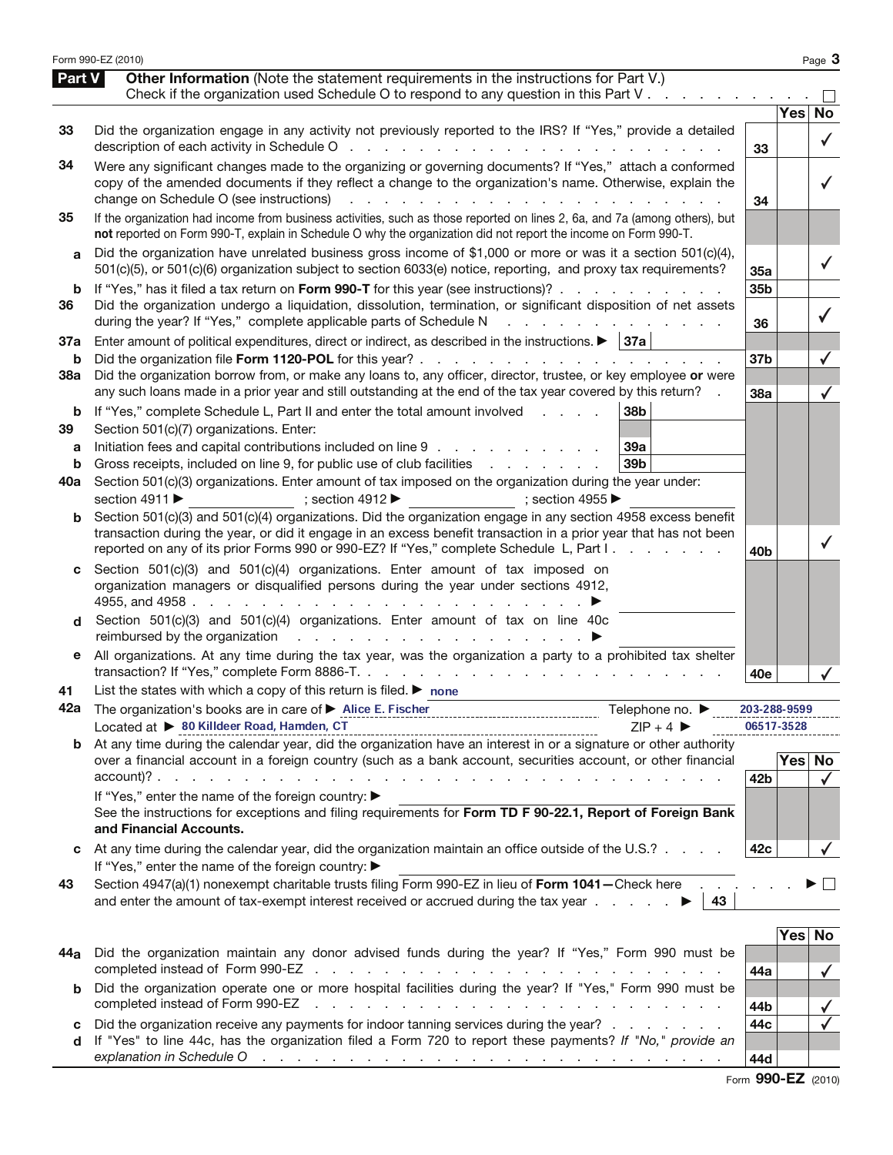|          | Form 990-EZ (2010)                                                                                                                                                                                                                                                                                                                                                                  |                 |            | Page 3                       |
|----------|-------------------------------------------------------------------------------------------------------------------------------------------------------------------------------------------------------------------------------------------------------------------------------------------------------------------------------------------------------------------------------------|-----------------|------------|------------------------------|
| Part V   | <b>Other Information</b> (Note the statement requirements in the instructions for Part V.)<br>Check if the organization used Schedule O to respond to any question in this Part V                                                                                                                                                                                                   |                 |            |                              |
|          |                                                                                                                                                                                                                                                                                                                                                                                     |                 | Yes        | No                           |
| 33       | Did the organization engage in any activity not previously reported to the IRS? If "Yes," provide a detailed                                                                                                                                                                                                                                                                        | 33              |            | $\checkmark$                 |
| 34       | Were any significant changes made to the organizing or governing documents? If "Yes," attach a conformed<br>copy of the amended documents if they reflect a change to the organization's name. Otherwise, explain the<br>change on Schedule O (see instructions)<br>and a series of the contract of the contract of the contract of the contract of the contract of the contract of | 34              |            |                              |
| 35       | If the organization had income from business activities, such as those reported on lines 2, 6a, and 7a (among others), but<br>not reported on Form 990-T, explain in Schedule O why the organization did not report the income on Form 990-T.                                                                                                                                       |                 |            |                              |
| a        | Did the organization have unrelated business gross income of \$1,000 or more or was it a section $501(c)(4)$ ,<br>501(c)(5), or 501(c)(6) organization subject to section 6033(e) notice, reporting, and proxy tax requirements?                                                                                                                                                    | 35a             |            | ✓                            |
| b        | If "Yes," has it filed a tax return on Form 990-T for this year (see instructions)?                                                                                                                                                                                                                                                                                                 | 35b             |            |                              |
| 36       | Did the organization undergo a liquidation, dissolution, termination, or significant disposition of net assets<br>during the year? If "Yes," complete applicable parts of Schedule N<br>and a series of the contract of the contract of                                                                                                                                             | 36              |            |                              |
| 37a      | Enter amount of political expenditures, direct or indirect, as described in the instructions. $\blacktriangleright$   37a                                                                                                                                                                                                                                                           |                 |            |                              |
| b<br>38a | Did the organization borrow from, or make any loans to, any officer, director, trustee, or key employee or were                                                                                                                                                                                                                                                                     | 37 <sub>b</sub> |            |                              |
|          | any such loans made in a prior year and still outstanding at the end of the tax year covered by this return?                                                                                                                                                                                                                                                                        | 38a             |            | $\checkmark$                 |
| b<br>39  | If "Yes," complete Schedule L, Part II and enter the total amount involved<br>38b<br>Section 501(c)(7) organizations. Enter:                                                                                                                                                                                                                                                        |                 |            |                              |
| а<br>b   | Initiation fees and capital contributions included on line 9<br><b>39a</b><br>Gross receipts, included on line 9, for public use of club facilities<br>39 <sub>b</sub>                                                                                                                                                                                                              |                 |            |                              |
| 40a      | Section 501(c)(3) organizations. Enter amount of tax imposed on the organization during the year under:<br>section 4911 ▶<br>$; section 4912 \rightarrow$ ; section 4955                                                                                                                                                                                                            |                 |            |                              |
| b        | Section 501(c)(3) and 501(c)(4) organizations. Did the organization engage in any section 4958 excess benefit<br>transaction during the year, or did it engage in an excess benefit transaction in a prior year that has not been                                                                                                                                                   |                 |            |                              |
|          | reported on any of its prior Forms 990 or 990-EZ? If "Yes," complete Schedule L, Part I.                                                                                                                                                                                                                                                                                            | 40b             |            |                              |
| c        | Section 501(c)(3) and 501(c)(4) organizations. Enter amount of tax imposed on<br>organization managers or disqualified persons during the year under sections 4912,                                                                                                                                                                                                                 |                 |            |                              |
| d        | Section 501(c)(3) and 501(c)(4) organizations. Enter amount of tax on line 40c                                                                                                                                                                                                                                                                                                      |                 |            |                              |
| е        | All organizations. At any time during the tax year, was the organization a party to a prohibited tax shelter                                                                                                                                                                                                                                                                        | 40e             |            |                              |
| 41       | List the states with which a copy of this return is filed. $\blacktriangleright$ none                                                                                                                                                                                                                                                                                               |                 |            |                              |
| 42a      | The organization's books are in care of > Alice E. Fischer<br>Telephone no. ▶<br>--------------------------------                                                                                                                                                                                                                                                                   | 203-288-9599    |            |                              |
|          | Located at ▶ 80 Killdeer Road, Hamden, CT<br>$ZIP + 4$                                                                                                                                                                                                                                                                                                                              | 06517-3528      |            |                              |
| b        | At any time during the calendar year, did the organization have an interest in or a signature or other authority<br>over a financial account in a foreign country (such as a bank account, securities account, or other financial                                                                                                                                                   | 42b             | Yes No     | $\checkmark$                 |
|          | If "Yes," enter the name of the foreign country: ▶<br>See the instructions for exceptions and filing requirements for Form TD F 90-22.1, Report of Foreign Bank<br>and Financial Accounts.                                                                                                                                                                                          |                 |            |                              |
|          | At any time during the calendar year, did the organization maintain an office outside of the U.S.?<br>If "Yes," enter the name of the foreign country: ▶                                                                                                                                                                                                                            | 42c             |            |                              |
| 43       | Section 4947(a)(1) nonexempt charitable trusts filing Form 990-EZ in lieu of Form 1041-Check here<br>and enter the amount of tax-exempt interest received or accrued during the tax year $\ldots$ $\ldots$<br>43                                                                                                                                                                    |                 |            | $\mathbf{L}$                 |
|          |                                                                                                                                                                                                                                                                                                                                                                                     |                 |            |                              |
| 44a      | Did the organization maintain any donor advised funds during the year? If "Yes," Form 990 must be                                                                                                                                                                                                                                                                                   |                 | <b>Yes</b> | No                           |
| b        | Did the organization operate one or more hospital facilities during the year? If "Yes," Form 990 must be<br>completed instead of Form 990-EZ<br>and a construction of the construction of the construction of the construction of the construction of the construction of the construction of the construction of the construction of the construction of the construction of       | 44a<br>44b      |            |                              |
| с        | Did the organization receive any payments for indoor tanning services during the year?                                                                                                                                                                                                                                                                                              | 44c             |            | $\checkmark$<br>$\checkmark$ |
| d        | If "Yes" to line 44c, has the organization filed a Form 720 to report these payments? If "No," provide an<br>explanation in Schedule O response to the contract of the contract of the contract of the contract of the contract of the contract of the contract of the contract of the contract of the contract of the contract of the cont                                         | 44d             |            |                              |

Form 990-EZ (2010)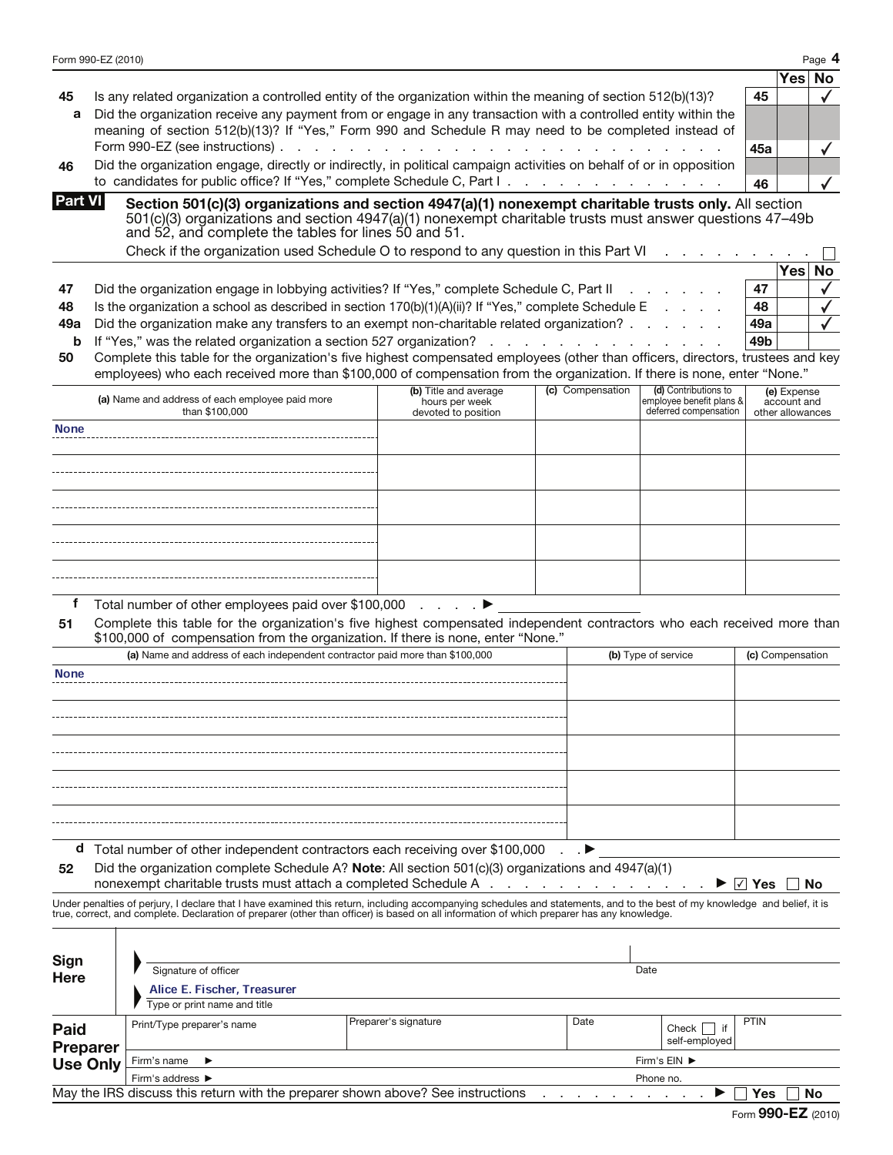|                                            | Form 990-EZ (2010) |                                                                                                                                                                                                                                                                         |                       |                                          |                          |                           | Page 4           |
|--------------------------------------------|--------------------|-------------------------------------------------------------------------------------------------------------------------------------------------------------------------------------------------------------------------------------------------------------------------|-----------------------|------------------------------------------|--------------------------|---------------------------|------------------|
|                                            |                    |                                                                                                                                                                                                                                                                         |                       |                                          |                          |                           | Yes<br>No        |
| 45                                         |                    | Is any related organization a controlled entity of the organization within the meaning of section 512(b)(13)?                                                                                                                                                           |                       |                                          |                          | 45                        |                  |
| a                                          |                    | Did the organization receive any payment from or engage in any transaction with a controlled entity within the<br>meaning of section 512(b)(13)? If "Yes," Form 990 and Schedule R may need to be completed instead of                                                  |                       |                                          |                          |                           |                  |
|                                            |                    |                                                                                                                                                                                                                                                                         |                       |                                          |                          | 45a                       |                  |
| 46                                         |                    | Did the organization engage, directly or indirectly, in political campaign activities on behalf of or in opposition                                                                                                                                                     |                       |                                          |                          |                           |                  |
|                                            |                    | to candidates for public office? If "Yes," complete Schedule C, Part I                                                                                                                                                                                                  |                       |                                          |                          | 46                        |                  |
| <b>Part VI</b>                             |                    | Section 501(c)(3) organizations and section 4947(a)(1) nonexempt charitable trusts only. All section<br>501(c)(3) organizations and section 4947(a)(1) nonexempt charitable trusts must answer questions 47-49b<br>and 52, and complete the tables for lines 50 and 51. |                       |                                          |                          |                           |                  |
|                                            |                    | Check if the organization used Schedule O to respond to any question in this Part VI                                                                                                                                                                                    |                       |                                          |                          |                           |                  |
|                                            |                    |                                                                                                                                                                                                                                                                         |                       |                                          |                          |                           | <b>Yes</b><br>No |
| 47                                         |                    | Did the organization engage in lobbying activities? If "Yes," complete Schedule C, Part II                                                                                                                                                                              |                       |                                          |                          | 47                        |                  |
| 48                                         |                    | Is the organization a school as described in section $170(b)(1)(A)(ii)$ ? If "Yes," complete Schedule E                                                                                                                                                                 |                       |                                          |                          | 48                        |                  |
| 49a                                        |                    | Did the organization make any transfers to an exempt non-charitable related organization?                                                                                                                                                                               |                       |                                          |                          | 49а                       |                  |
| b                                          |                    | If "Yes," was the related organization a section 527 organization?                                                                                                                                                                                                      |                       |                                          |                          | 49b                       |                  |
| 50                                         |                    | Complete this table for the organization's five highest compensated employees (other than officers, directors, trustees and key<br>employees) who each received more than \$100,000 of compensation from the organization. If there is none, enter "None."              |                       |                                          |                          |                           |                  |
|                                            |                    |                                                                                                                                                                                                                                                                         | (b) Title and average | (c) Compensation                         | (d) Contributions to     |                           | (e) Expense      |
|                                            |                    | (a) Name and address of each employee paid more                                                                                                                                                                                                                         | hours per week        |                                          | employee benefit plans & |                           | account and      |
| <b>None</b>                                |                    | than \$100,000                                                                                                                                                                                                                                                          | devoted to position   |                                          | deferred compensation    |                           | other allowances |
|                                            |                    |                                                                                                                                                                                                                                                                         |                       |                                          |                          |                           |                  |
|                                            |                    |                                                                                                                                                                                                                                                                         |                       |                                          |                          |                           |                  |
|                                            |                    |                                                                                                                                                                                                                                                                         |                       |                                          |                          |                           |                  |
|                                            |                    |                                                                                                                                                                                                                                                                         |                       |                                          |                          |                           |                  |
|                                            |                    |                                                                                                                                                                                                                                                                         |                       |                                          |                          |                           |                  |
|                                            |                    |                                                                                                                                                                                                                                                                         |                       |                                          |                          |                           |                  |
|                                            |                    |                                                                                                                                                                                                                                                                         |                       |                                          |                          |                           |                  |
|                                            |                    |                                                                                                                                                                                                                                                                         |                       |                                          |                          |                           |                  |
|                                            |                    |                                                                                                                                                                                                                                                                         |                       |                                          |                          |                           |                  |
| f                                          |                    | Total number of other employees paid over \$100,000 ▶                                                                                                                                                                                                                   |                       |                                          |                          |                           |                  |
| 51                                         |                    | Complete this table for the organization's five highest compensated independent contractors who each received more than                                                                                                                                                 |                       |                                          |                          |                           |                  |
|                                            |                    | \$100,000 of compensation from the organization. If there is none, enter "None."                                                                                                                                                                                        |                       |                                          |                          |                           |                  |
|                                            |                    | (a) Name and address of each independent contractor paid more than \$100,000                                                                                                                                                                                            |                       |                                          | (b) Type of service      |                           | (c) Compensation |
| <b>None</b>                                |                    |                                                                                                                                                                                                                                                                         |                       |                                          |                          |                           |                  |
|                                            |                    |                                                                                                                                                                                                                                                                         |                       |                                          |                          |                           |                  |
|                                            |                    |                                                                                                                                                                                                                                                                         |                       |                                          |                          |                           |                  |
|                                            |                    |                                                                                                                                                                                                                                                                         |                       |                                          |                          |                           |                  |
|                                            |                    |                                                                                                                                                                                                                                                                         |                       |                                          |                          |                           |                  |
|                                            |                    |                                                                                                                                                                                                                                                                         |                       |                                          |                          |                           |                  |
|                                            |                    |                                                                                                                                                                                                                                                                         |                       |                                          |                          |                           |                  |
|                                            |                    |                                                                                                                                                                                                                                                                         |                       |                                          |                          |                           |                  |
|                                            |                    |                                                                                                                                                                                                                                                                         |                       |                                          |                          |                           |                  |
|                                            |                    | d Total number of other independent contractors each receiving over \$100,000                                                                                                                                                                                           |                       |                                          |                          |                           |                  |
| 52                                         |                    | Did the organization complete Schedule A? Note: All section $501(c)(3)$ organizations and $4947(a)(1)$                                                                                                                                                                  |                       |                                          |                          |                           |                  |
|                                            |                    | nonexempt charitable trusts must attach a completed Schedule A                                                                                                                                                                                                          |                       | the contract of the contract of the con- |                          | $\sqrt{ }$ Yes            | No               |
|                                            |                    | Under penalties of perjury, I declare that I have examined this return, including accompanying schedules and statements, and to the best of my knowledge and belief, it is                                                                                              |                       |                                          |                          |                           |                  |
|                                            |                    | true, correct, and complete. Declaration of preparer (other than officer) is based on all information of which preparer has any knowledge.                                                                                                                              |                       |                                          |                          |                           |                  |
|                                            |                    |                                                                                                                                                                                                                                                                         |                       |                                          |                          |                           |                  |
|                                            |                    |                                                                                                                                                                                                                                                                         |                       |                                          |                          |                           |                  |
| Sign<br>Here                               |                    | Signature of officer                                                                                                                                                                                                                                                    |                       |                                          | Date                     |                           |                  |
|                                            |                    | Alice E. Fischer, Treasurer                                                                                                                                                                                                                                             |                       |                                          |                          |                           |                  |
|                                            |                    | Type or print name and title                                                                                                                                                                                                                                            |                       |                                          |                          |                           |                  |
|                                            |                    | Print/Type preparer's name                                                                                                                                                                                                                                              | Preparer's signature  | Date                                     |                          | <b>PTIN</b>               |                  |
|                                            |                    |                                                                                                                                                                                                                                                                         |                       |                                          | self-employed            |                           |                  |
|                                            |                    | Firm's name<br>▶                                                                                                                                                                                                                                                        |                       |                                          | Firm's EIN ▶             |                           |                  |
|                                            |                    | Firm's address ▶                                                                                                                                                                                                                                                        |                       |                                          | Phone no.                |                           |                  |
| Paid<br><b>Preparer</b><br><b>Use Only</b> |                    | May the IRS discuss this return with the preparer shown above? See instructions                                                                                                                                                                                         |                       |                                          | Check                    | Yes<br>Form 990-EZ (2010) |                  |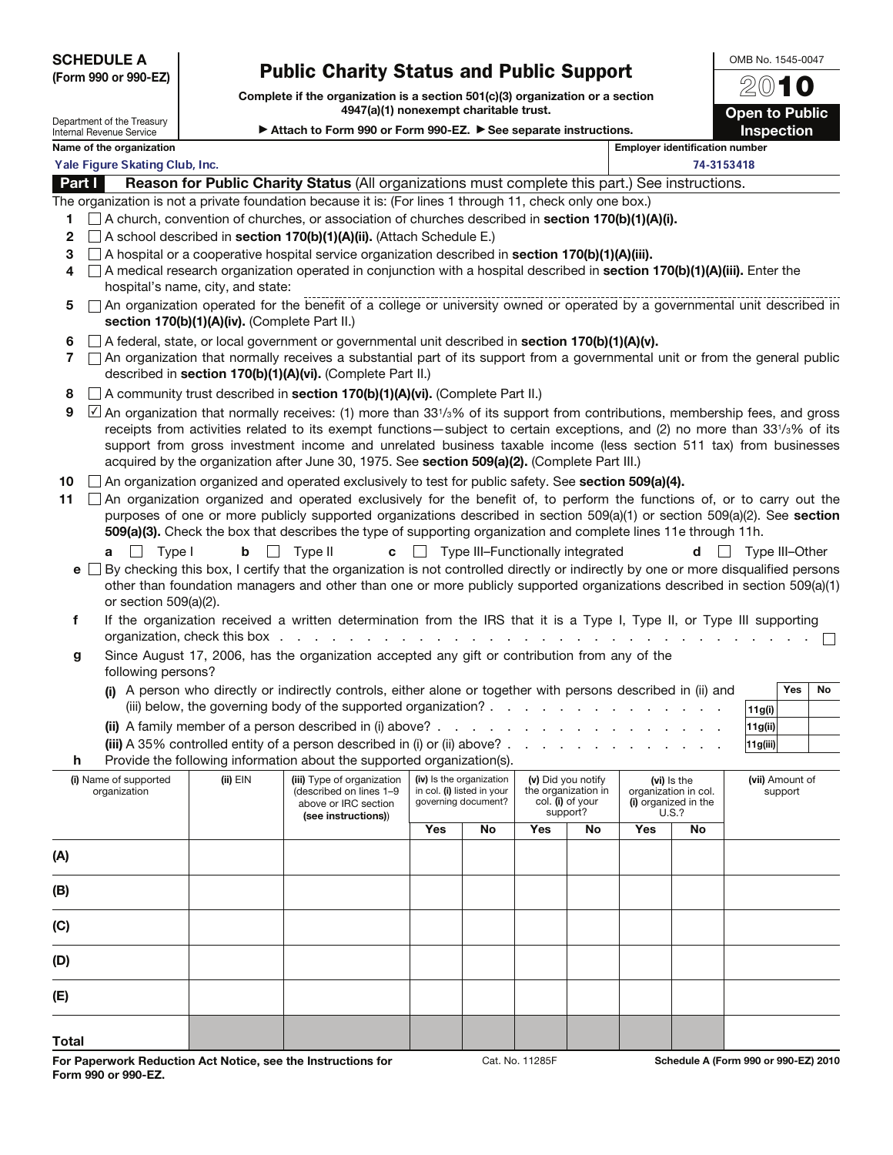SCHEDULE A (Form 990 or 990-EZ)

Department of the Treasury Internal Revenue Service

## Public Charity Status and Public Support

Complete if the organization is a section 501(c)(3) organization or a section 4947(a)(1) nonexempt charitable trust.

OMB No. 1545-0047 2010 **Open to Public** Inspection

Attach to Form 990 or Form 990-EZ.  $\triangleright$  See separate instructions.

|             | Name of the organization<br><b>Employer identification number</b>                                                                                                                                                                                                                                                                                                                                                                                                                                                                                       |                                                                                    |                                                                                                                                                                                                                                                                                                                                                                                                                                                                                                                                                                             |            |                                                                               |     |                                                                           |     |                                                                      |                            |
|-------------|---------------------------------------------------------------------------------------------------------------------------------------------------------------------------------------------------------------------------------------------------------------------------------------------------------------------------------------------------------------------------------------------------------------------------------------------------------------------------------------------------------------------------------------------------------|------------------------------------------------------------------------------------|-----------------------------------------------------------------------------------------------------------------------------------------------------------------------------------------------------------------------------------------------------------------------------------------------------------------------------------------------------------------------------------------------------------------------------------------------------------------------------------------------------------------------------------------------------------------------------|------------|-------------------------------------------------------------------------------|-----|---------------------------------------------------------------------------|-----|----------------------------------------------------------------------|----------------------------|
|             | Yale Figure Skating Club, Inc.<br>74-3153418                                                                                                                                                                                                                                                                                                                                                                                                                                                                                                            |                                                                                    |                                                                                                                                                                                                                                                                                                                                                                                                                                                                                                                                                                             |            |                                                                               |     |                                                                           |     |                                                                      |                            |
| Part I      |                                                                                                                                                                                                                                                                                                                                                                                                                                                                                                                                                         |                                                                                    | Reason for Public Charity Status (All organizations must complete this part.) See instructions.                                                                                                                                                                                                                                                                                                                                                                                                                                                                             |            |                                                                               |     |                                                                           |     |                                                                      |                            |
| 2<br>З<br>4 | The organization is not a private foundation because it is: (For lines 1 through 11, check only one box.)<br>$\Box$ A church, convention of churches, or association of churches described in section 170(b)(1)(A)(i).<br>□ A school described in section 170(b)(1)(A)(ii). (Attach Schedule E.)<br>$\Box$ A hospital or a cooperative hospital service organization described in <b>section 170(b)(1)(A)(iii).</b><br>$\Box$ A medical research organization operated in conjunction with a hospital described in section 170(b)(1)(A)(iii). Enter the |                                                                                    |                                                                                                                                                                                                                                                                                                                                                                                                                                                                                                                                                                             |            |                                                                               |     |                                                                           |     |                                                                      |                            |
| 5           |                                                                                                                                                                                                                                                                                                                                                                                                                                                                                                                                                         | hospital's name, city, and state:<br>section 170(b)(1)(A)(iv). (Complete Part II.) | An organization operated for the benefit of a college or university owned or operated by a governmental unit described in                                                                                                                                                                                                                                                                                                                                                                                                                                                   |            |                                                                               |     |                                                                           |     |                                                                      |                            |
| 6<br>7      |                                                                                                                                                                                                                                                                                                                                                                                                                                                                                                                                                         |                                                                                    | $\Box$ A federal, state, or local government or governmental unit described in section 170(b)(1)(A)(v).<br>□ An organization that normally receives a substantial part of its support from a governmental unit or from the general public<br>described in section 170(b)(1)(A)(vi). (Complete Part II.)                                                                                                                                                                                                                                                                     |            |                                                                               |     |                                                                           |     |                                                                      |                            |
| 8<br>9      |                                                                                                                                                                                                                                                                                                                                                                                                                                                                                                                                                         |                                                                                    | A community trust described in section 170(b)(1)(A)(vi). (Complete Part II.)<br>An organization that normally receives: (1) more than 331/ <sub>3</sub> % of its support from contributions, membership fees, and gross<br>receipts from activities related to its exempt functions—subject to certain exceptions, and (2) no more than 331/3% of its<br>support from gross investment income and unrelated business taxable income (less section 511 tax) from businesses<br>acquired by the organization after June 30, 1975. See section 509(a)(2). (Complete Part III.) |            |                                                                               |     |                                                                           |     |                                                                      |                            |
| 10<br>11    | Type I<br>$\Box$<br>a                                                                                                                                                                                                                                                                                                                                                                                                                                                                                                                                   |                                                                                    | $\Box$ An organization organized and operated exclusively to test for public safety. See section 509(a)(4).<br>An organization organized and operated exclusively for the benefit of, to perform the functions of, or to carry out the<br>purposes of one or more publicly supported organizations described in section 509(a)(1) or section 509(a)(2). See section<br>509(a)(3). Check the box that describes the type of supporting organization and complete lines 11e through 11h.<br><b>b</b> $\Box$ Type II                                                           |            | $\mathbf{c}$ $\Box$ Type III-Functionally integrated                          |     |                                                                           |     | $d \mid \cdot$                                                       | Type III–Other             |
|             | or section 509(a)(2).                                                                                                                                                                                                                                                                                                                                                                                                                                                                                                                                   |                                                                                    | $\mathbf{e}$ $\Box$ By checking this box, I certify that the organization is not controlled directly or indirectly by one or more disqualified persons<br>other than foundation managers and other than one or more publicly supported organizations described in section 509(a)(1)                                                                                                                                                                                                                                                                                         |            |                                                                               |     |                                                                           |     |                                                                      |                            |
| f<br>g      |                                                                                                                                                                                                                                                                                                                                                                                                                                                                                                                                                         | organization, check this box.                                                      | If the organization received a written determination from the IRS that it is a Type I, Type II, or Type III supporting<br>and a construction of the construction of the construction of the construction of the construction of the construction of the construction of the construction of the construction of the construction of the construction of<br>Since August 17, 2006, has the organization accepted any gift or contribution from any of the                                                                                                                    |            |                                                                               |     |                                                                           |     |                                                                      |                            |
|             | following persons?                                                                                                                                                                                                                                                                                                                                                                                                                                                                                                                                      |                                                                                    | (i) A person who directly or indirectly controls, either alone or together with persons described in (ii) and<br>(iii) below, the governing body of the supported organization? $\ldots$ , $\ldots$ , $\ldots$ , $\ldots$ , $\ldots$                                                                                                                                                                                                                                                                                                                                        |            |                                                                               |     |                                                                           |     |                                                                      | <b>Yes</b><br>No<br>11g(i) |
|             |                                                                                                                                                                                                                                                                                                                                                                                                                                                                                                                                                         |                                                                                    |                                                                                                                                                                                                                                                                                                                                                                                                                                                                                                                                                                             |            |                                                                               |     |                                                                           |     |                                                                      | 11g(ii)                    |
|             |                                                                                                                                                                                                                                                                                                                                                                                                                                                                                                                                                         |                                                                                    | (iii) A 35% controlled entity of a person described in (i) or (ii) above? $\ldots$ $\ldots$ $\ldots$                                                                                                                                                                                                                                                                                                                                                                                                                                                                        |            |                                                                               |     |                                                                           |     |                                                                      | 11g(iii)                   |
| h           |                                                                                                                                                                                                                                                                                                                                                                                                                                                                                                                                                         |                                                                                    | Provide the following information about the supported organization(s).                                                                                                                                                                                                                                                                                                                                                                                                                                                                                                      |            |                                                                               |     |                                                                           |     |                                                                      |                            |
|             | (i) Name of supported<br>organization                                                                                                                                                                                                                                                                                                                                                                                                                                                                                                                   | $(ii)$ EIN                                                                         | (iii) Type of organization  <br>(described on lines 1-9<br>above or IRC section<br>(see instructions))                                                                                                                                                                                                                                                                                                                                                                                                                                                                      |            | (iv) Is the organization<br>in col. (i) listed in your<br>governing document? |     | (v) Did you notify<br>the organization in<br>col. (i) of your<br>support? |     | (vi) is the<br>organization in col.<br>(i) organized in the<br>U.S.? | (vii) Amount of<br>support |
|             |                                                                                                                                                                                                                                                                                                                                                                                                                                                                                                                                                         |                                                                                    |                                                                                                                                                                                                                                                                                                                                                                                                                                                                                                                                                                             | <b>Yes</b> | No                                                                            | Yes | No                                                                        | Yes | No                                                                   |                            |
| (A)         |                                                                                                                                                                                                                                                                                                                                                                                                                                                                                                                                                         |                                                                                    |                                                                                                                                                                                                                                                                                                                                                                                                                                                                                                                                                                             |            |                                                                               |     |                                                                           |     |                                                                      |                            |
| (B)         |                                                                                                                                                                                                                                                                                                                                                                                                                                                                                                                                                         |                                                                                    |                                                                                                                                                                                                                                                                                                                                                                                                                                                                                                                                                                             |            |                                                                               |     |                                                                           |     |                                                                      |                            |
| (C)         |                                                                                                                                                                                                                                                                                                                                                                                                                                                                                                                                                         |                                                                                    |                                                                                                                                                                                                                                                                                                                                                                                                                                                                                                                                                                             |            |                                                                               |     |                                                                           |     |                                                                      |                            |
| (D)         |                                                                                                                                                                                                                                                                                                                                                                                                                                                                                                                                                         |                                                                                    |                                                                                                                                                                                                                                                                                                                                                                                                                                                                                                                                                                             |            |                                                                               |     |                                                                           |     |                                                                      |                            |
| (E)         |                                                                                                                                                                                                                                                                                                                                                                                                                                                                                                                                                         |                                                                                    |                                                                                                                                                                                                                                                                                                                                                                                                                                                                                                                                                                             |            |                                                                               |     |                                                                           |     |                                                                      |                            |

Total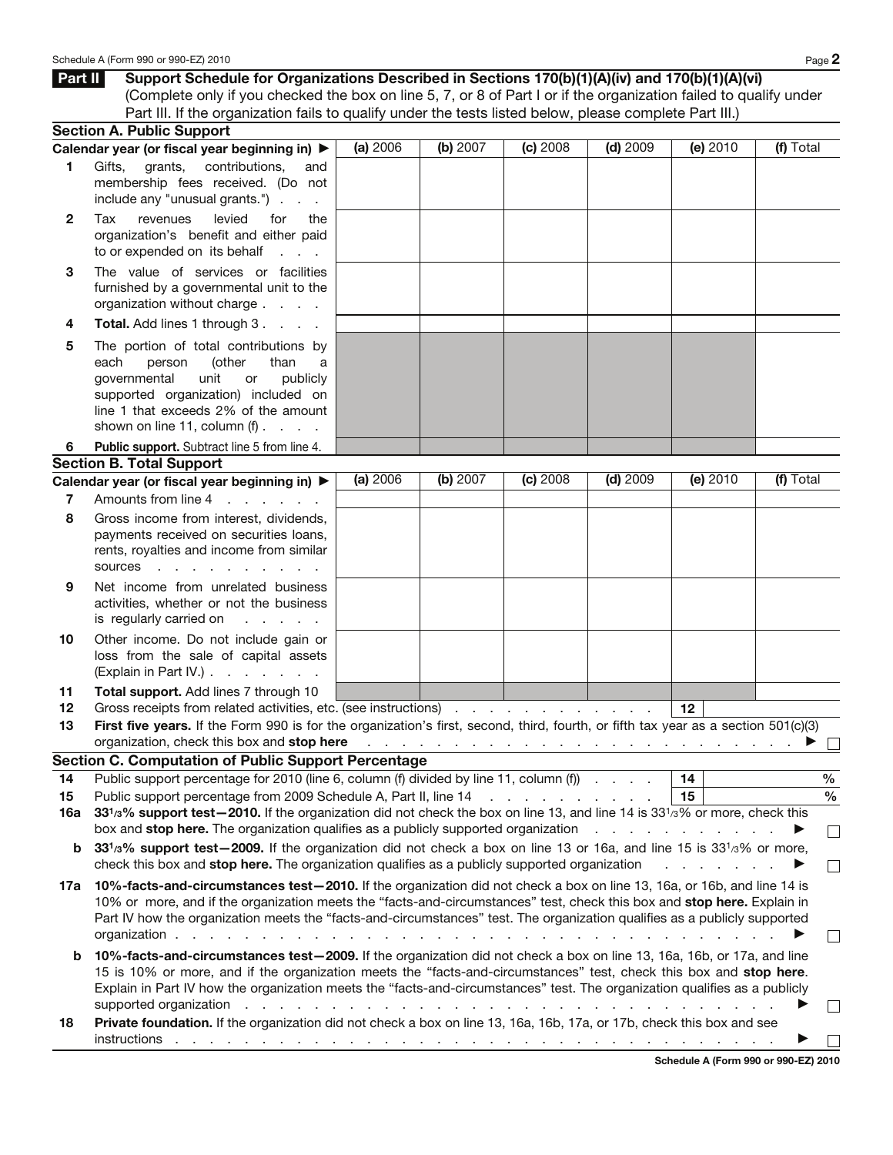|              | (Complete only if you checked the box on line 5, 7, or 8 of Part I or if the organization failed to qualify under                                                                                                                                                                                                                                                                                                                                                                         |          |          |            |            |                               |               |
|--------------|-------------------------------------------------------------------------------------------------------------------------------------------------------------------------------------------------------------------------------------------------------------------------------------------------------------------------------------------------------------------------------------------------------------------------------------------------------------------------------------------|----------|----------|------------|------------|-------------------------------|---------------|
|              | Part III. If the organization fails to qualify under the tests listed below, please complete Part III.)<br><b>Section A. Public Support</b>                                                                                                                                                                                                                                                                                                                                               |          |          |            |            |                               |               |
|              | Calendar year (or fiscal year beginning in) ▶                                                                                                                                                                                                                                                                                                                                                                                                                                             | (a) 2006 | (b) 2007 | $(c)$ 2008 | $(d)$ 2009 | $(e)$ 2010                    | (f) Total     |
| 1            | grants, contributions,<br>Gifts,<br>and<br>membership fees received. (Do not<br>include any "unusual grants.")                                                                                                                                                                                                                                                                                                                                                                            |          |          |            |            |                               |               |
| $\mathbf{2}$ | levied<br>Tax<br>revenues<br>for<br>the<br>organization's benefit and either paid<br>to or expended on its behalf                                                                                                                                                                                                                                                                                                                                                                         |          |          |            |            |                               |               |
| 3            | The value of services or facilities<br>furnished by a governmental unit to the<br>organization without charge                                                                                                                                                                                                                                                                                                                                                                             |          |          |            |            |                               |               |
| 4            | Total. Add lines 1 through 3.                                                                                                                                                                                                                                                                                                                                                                                                                                                             |          |          |            |            |                               |               |
| 5            | The portion of total contributions by<br>(other<br>each<br>person<br>than<br>a<br>governmental<br>unit<br>publicly<br>or<br>supported organization) included on<br>line 1 that exceeds 2% of the amount<br>shown on line 11, column $(f)$ .                                                                                                                                                                                                                                               |          |          |            |            |                               |               |
| 6            | <b>Public support.</b> Subtract line 5 from line 4.                                                                                                                                                                                                                                                                                                                                                                                                                                       |          |          |            |            |                               |               |
|              | <b>Section B. Total Support</b>                                                                                                                                                                                                                                                                                                                                                                                                                                                           |          |          |            |            |                               |               |
|              | Calendar year (or fiscal year beginning in) ▶                                                                                                                                                                                                                                                                                                                                                                                                                                             | (a) 2006 | (b) 2007 | $(c)$ 2008 | $(d)$ 2009 | (e) 2010                      | (f) Total     |
| 7            | Amounts from line 4<br>and the state of the state                                                                                                                                                                                                                                                                                                                                                                                                                                         |          |          |            |            |                               |               |
| 8            | Gross income from interest, dividends,<br>payments received on securities loans,<br>rents, royalties and income from similar<br>sources<br>and the state of the state of the                                                                                                                                                                                                                                                                                                              |          |          |            |            |                               |               |
| 9            | Net income from unrelated business<br>activities, whether or not the business<br>is regularly carried on<br>and a state of the                                                                                                                                                                                                                                                                                                                                                            |          |          |            |            |                               |               |
| 10           | Other income. Do not include gain or<br>loss from the sale of capital assets<br>(Explain in Part IV.)                                                                                                                                                                                                                                                                                                                                                                                     |          |          |            |            |                               |               |
| 11           | Total support. Add lines 7 through 10                                                                                                                                                                                                                                                                                                                                                                                                                                                     |          |          |            |            |                               |               |
| 12           | Gross receipts from related activities, etc. (see instructions)                                                                                                                                                                                                                                                                                                                                                                                                                           |          |          |            |            | 12                            |               |
| 13           | First five years. If the Form 990 is for the organization's first, second, third, fourth, or fifth tax year as a section 501(c)(3)                                                                                                                                                                                                                                                                                                                                                        |          |          |            |            |                               |               |
|              | organization, check this box and stop here reading the substitution of the state of the state of the state of the state of the state of the state of the state of the state of the state of the state of the state of the stat<br><b>Section C. Computation of Public Support Percentage</b>                                                                                                                                                                                              |          |          |            |            |                               |               |
| 14           | Public support percentage for 2010 (line 6, column (f) divided by line 11, column (f)                                                                                                                                                                                                                                                                                                                                                                                                     |          |          |            |            | 14                            | $\frac{0}{0}$ |
| 15           |                                                                                                                                                                                                                                                                                                                                                                                                                                                                                           |          |          |            |            | 15                            | $\%$          |
| 16a          | 331/3% support test-2010. If the organization did not check the box on line 13, and line 14 is 33 <sup>1</sup> /3% or more, check this                                                                                                                                                                                                                                                                                                                                                    |          |          |            |            |                               |               |
|              | box and stop here. The organization qualifies as a publicly supported organization                                                                                                                                                                                                                                                                                                                                                                                                        |          |          |            |            |                               |               |
| b            | 331/3% support test-2009. If the organization did not check a box on line 13 or 16a, and line 15 is 331/3% or more,                                                                                                                                                                                                                                                                                                                                                                       |          |          |            |            |                               |               |
|              | check this box and stop here. The organization qualifies as a publicly supported organization                                                                                                                                                                                                                                                                                                                                                                                             |          |          |            |            | and a straight and a straight |               |
| 17a          | 10%-facts-and-circumstances test-2010. If the organization did not check a box on line 13, 16a, or 16b, and line 14 is<br>10% or more, and if the organization meets the "facts-and-circumstances" test, check this box and stop here. Explain in<br>Part IV how the organization meets the "facts-and-circumstances" test. The organization qualifies as a publicly supported<br>organization.<br>the second contract of the contract of the contract of the contract of the contract of |          |          |            |            |                               |               |
| b            | 10%-facts-and-circumstances test-2009. If the organization did not check a box on line 13, 16a, 16b, or 17a, and line<br>15 is 10% or more, and if the organization meets the "facts-and-circumstances" test, check this box and stop here.<br>Explain in Part IV how the organization meets the "facts-and-circumstances" test. The organization qualifies as a publicly                                                                                                                 |          |          |            |            |                               |               |
|              | supported organization<br>and a series of the contract of the contract of the contract of the contract of<br>Private foundation. If the organization did not check a box on line 13, 16a, 16b, 17a, or 17b, check this box and see                                                                                                                                                                                                                                                        |          |          |            |            |                               |               |
| 18           | instructions by a contract of the contract of the contract of the contract of the contract of the contract of the contract of the contract of the contract of the contract of the contract of the contract of the contract of                                                                                                                                                                                                                                                             |          |          |            |            |                               |               |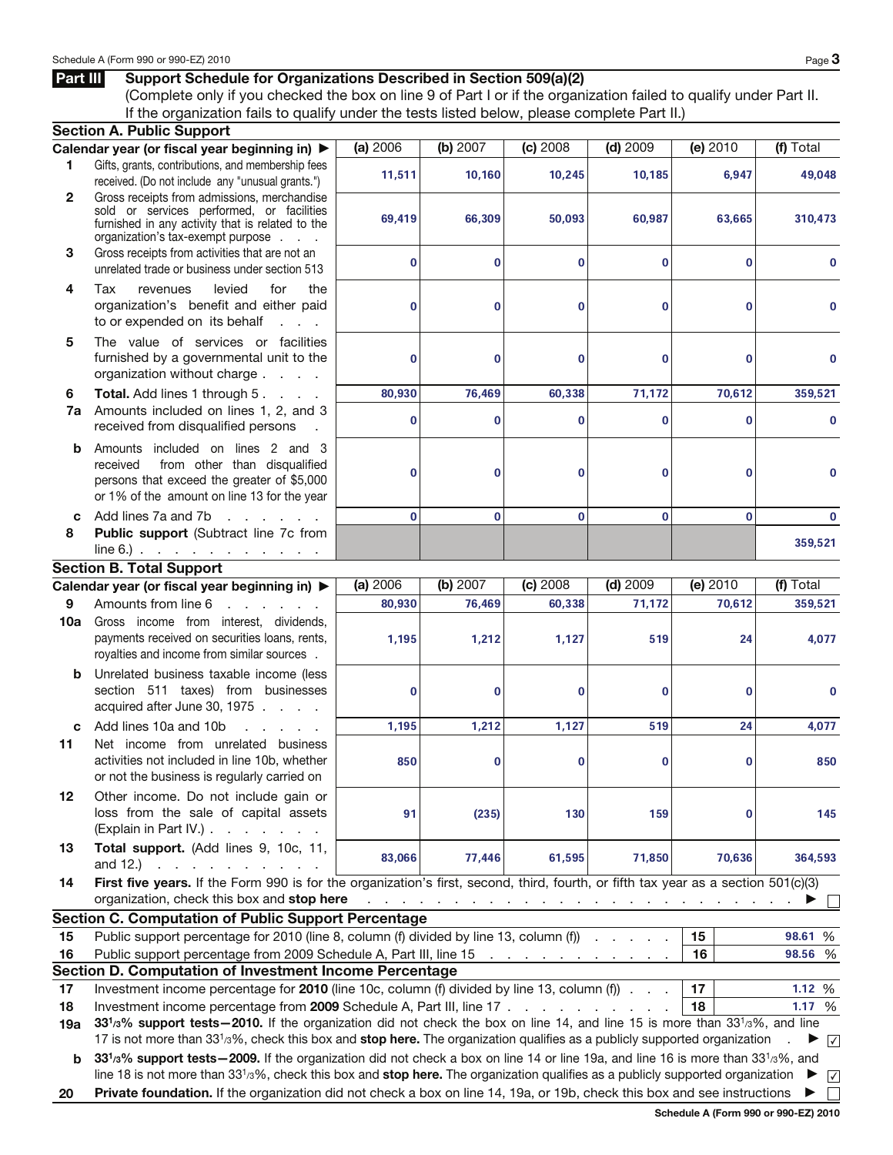## Part III Support Schedule for Organizations Described in Section 509(a)(2)

(Complete only if you checked the box on line 9 of Part I or if the organization failed to qualify under Part II. If the organization fails to qualify under the tests listed below, please complete Part II.)

|              | <b>Section A. Public Support</b>                                                                                                                                                                                                                                            |              |          |                                    |            |                                                                                          |                 |
|--------------|-----------------------------------------------------------------------------------------------------------------------------------------------------------------------------------------------------------------------------------------------------------------------------|--------------|----------|------------------------------------|------------|------------------------------------------------------------------------------------------|-----------------|
|              | Calendar year (or fiscal year beginning in) ▶                                                                                                                                                                                                                               | (a) 2006     | (b) 2007 | $(c)$ 2008                         | $(d)$ 2009 | (e) 2010                                                                                 | (f) Total       |
| 1.           | Gifts, grants, contributions, and membership fees<br>received. (Do not include any "unusual grants.")                                                                                                                                                                       | 11,511       | 10,160   | 10,245                             | 10,185     | 6,947                                                                                    | 49,048          |
| $\mathbf{2}$ | Gross receipts from admissions, merchandise<br>sold or services performed, or facilities<br>furnished in any activity that is related to the<br>organization's tax-exempt purpose                                                                                           | 69,419       | 66,309   | 50,093                             | 60,987     | 63,665                                                                                   | 310.473         |
| 3            | Gross receipts from activities that are not an<br>unrelated trade or business under section 513                                                                                                                                                                             | 0            | 0        | $\mathbf 0$                        | 0          | 0                                                                                        | 0               |
| 4            | Tax<br>levied<br>for<br>the<br>revenues<br>organization's benefit and either paid<br>to or expended on its behalf<br>$1 - 1 - 1$                                                                                                                                            | 0            | 0        | $\mathbf 0$                        | 0          | 0                                                                                        | 0               |
| 5            | The value of services or facilities<br>furnished by a governmental unit to the<br>organization without charge                                                                                                                                                               | 0            | 0        | $\mathbf 0$                        | 0          | 0                                                                                        | 0               |
| 6            | <b>Total.</b> Add lines 1 through 5.                                                                                                                                                                                                                                        | 80,930       | 76,469   | 60,338                             | 71,172     | 70,612                                                                                   | 359,521         |
| 7a           | Amounts included on lines 1, 2, and 3<br>received from disqualified persons                                                                                                                                                                                                 | 0            | 0        | $\mathbf 0$                        | 0          | 0                                                                                        | 0               |
| b            | Amounts included on lines 2 and 3<br>from other than disqualified<br>received<br>persons that exceed the greater of \$5,000<br>or 1% of the amount on line 13 for the year                                                                                                  | 0            | 0        | 0                                  | 0          | 0                                                                                        | 0               |
| C            | Add lines 7a and 7b<br>and the company of the company                                                                                                                                                                                                                       | $\mathbf{0}$ | $\bf{0}$ | $\mathbf 0$                        | $\bf{0}$   | 0                                                                                        | 0               |
| 8            | Public support (Subtract line 7c from<br>$line 6.)$                                                                                                                                                                                                                         |              |          |                                    |            |                                                                                          | 359,521         |
|              | <b>Section B. Total Support</b>                                                                                                                                                                                                                                             |              |          |                                    |            |                                                                                          |                 |
|              | Calendar year (or fiscal year beginning in) ▶                                                                                                                                                                                                                               | (a) 2006     | (b) 2007 | $(c)$ 2008                         | $(d)$ 2009 | (e) 2010                                                                                 | (f) Total       |
| 9            | Amounts from line 6<br>and a state of the state of the                                                                                                                                                                                                                      | 80,930       | 76,469   | 60,338                             | 71,172     | 70,612                                                                                   | 359,521         |
| 10a          | Gross income from interest, dividends,<br>payments received on securities loans, rents,<br>royalties and income from similar sources.                                                                                                                                       | 1,195        | 1,212    | 1,127                              | 519        | 24                                                                                       | 4,077           |
| b            | Unrelated business taxable income (less<br>section 511 taxes) from businesses<br>acquired after June 30, 1975                                                                                                                                                               | 0            | 0        | $\mathbf 0$                        | 0          | 0                                                                                        | 0               |
| C            | Add lines 10a and 10b<br>and a state of                                                                                                                                                                                                                                     | 1,195        | 1,212    | 1,127                              | 519        | 24                                                                                       | 4,077           |
| 11           | Net income from unrelated business<br>activities not included in line 10b, whether<br>or not the business is regularly carried on                                                                                                                                           | 850          | 0        | 0                                  | 0          | 0                                                                                        | 850             |
| 12           | Other income. Do not include gain or<br>loss from the sale of capital assets<br>(Explain in Part IV.)                                                                                                                                                                       | 91           | (235)    | 130                                | 159        | 0                                                                                        | 145             |
| 13           | Total support. (Add lines 9, 10c, 11,<br>and 12.) $\therefore$ $\therefore$ $\therefore$ $\therefore$ $\therefore$                                                                                                                                                          | 83,066       | 77,446   | 61,595                             | 71,850     | 70,636                                                                                   | 364,593         |
| 14           | First five years. If the Form 990 is for the organization's first, second, third, fourth, or fifth tax year as a section 501(c)(3)<br>organization, check this box and stop here                                                                                            |              |          |                                    |            | المناقب والمناقب والمناقب والمناقب والمناقب والمناقب والمناقب والمناقب والمناقب والمناقب |                 |
|              | <b>Section C. Computation of Public Support Percentage</b>                                                                                                                                                                                                                  |              |          |                                    |            |                                                                                          |                 |
| 15           | Public support percentage for 2010 (line 8, column (f) divided by line 13, column (f)                                                                                                                                                                                       |              |          |                                    |            | 15                                                                                       | 98.61 %         |
| 16           | Public support percentage from 2009 Schedule A, Part III, line 15                                                                                                                                                                                                           |              |          | and a series of the company of the |            | 16                                                                                       | 98.56 %         |
|              | Section D. Computation of Investment Income Percentage                                                                                                                                                                                                                      |              |          |                                    |            |                                                                                          |                 |
| 17           | Investment income percentage for 2010 (line 10c, column (f) divided by line 13, column (f)                                                                                                                                                                                  |              |          |                                    |            | 17                                                                                       | 1.12 %          |
| 18           | Investment income percentage from 2009 Schedule A, Part III, line 17                                                                                                                                                                                                        |              |          |                                    |            | 18                                                                                       | 1.17 %          |
| 19a          | 331/3% support tests - 2010. If the organization did not check the box on line 14, and line 15 is more than 331/3%, and line                                                                                                                                                |              |          |                                    |            |                                                                                          |                 |
| b            | 17 is not more than 33 <sup>1</sup> /3%, check this box and stop here. The organization qualifies as a publicly supported organization<br>331/3% support tests - 2009. If the organization did not check a box on line 14 or line 19a, and line 16 is more than 331/3%, and |              |          |                                    |            |                                                                                          | $\sqrt{ }$      |
|              | line 18 is not more than $3313%$ , check this box and stop here. The organization qualifies as a publicly supported organization                                                                                                                                            |              |          |                                    |            |                                                                                          | $\sqrt{ }$<br>▸ |
| 20           | Private foundation. If the organization did not check a box on line 14, 19a, or 19b, check this box and see instructions                                                                                                                                                    |              |          |                                    |            |                                                                                          | $\mathbf{I}$    |

Schedule A (Form 990 or 990-EZ) 2010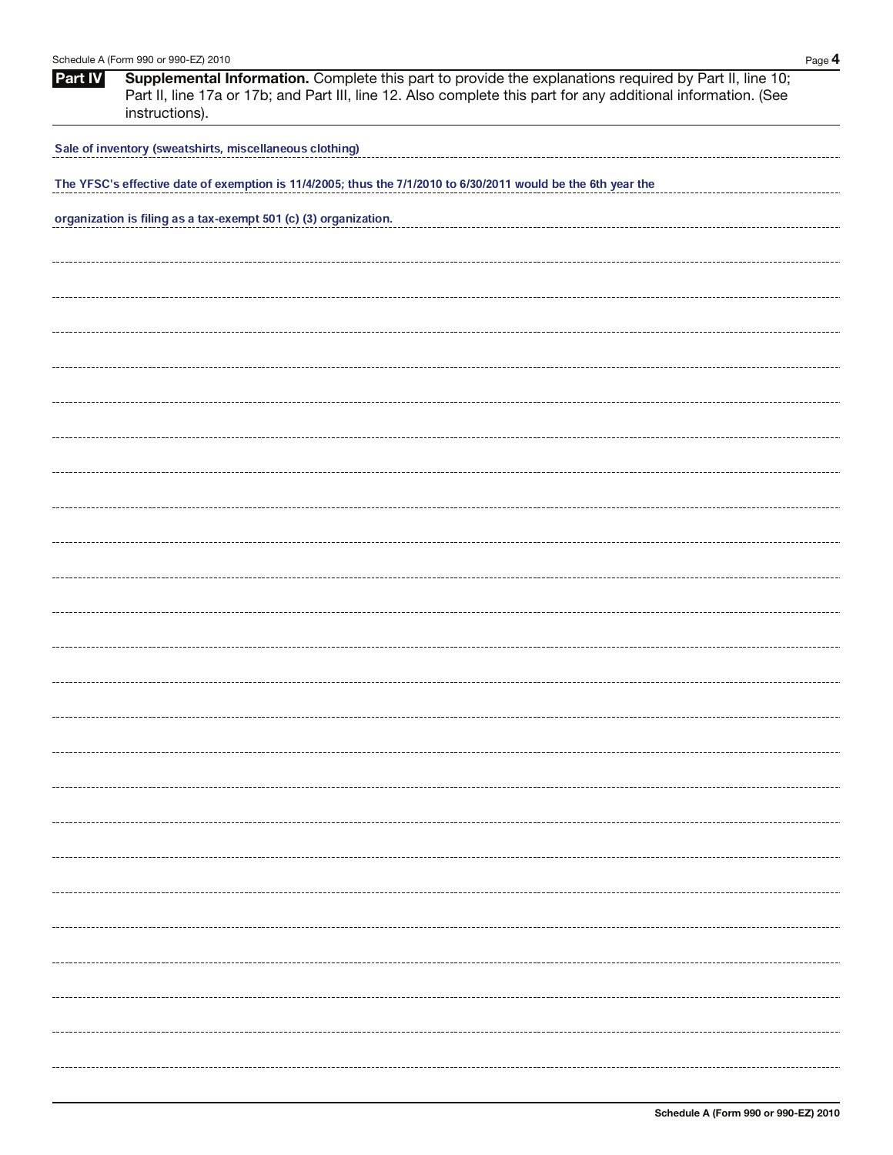| Schedule A (Form 990 or 990-EZ) 2010<br>Page 4 |                                                                                                                                                                                                                                           |  |  |  |  |  |  |
|------------------------------------------------|-------------------------------------------------------------------------------------------------------------------------------------------------------------------------------------------------------------------------------------------|--|--|--|--|--|--|
| <b>Part IV</b>                                 | Supplemental Information. Complete this part to provide the explanations required by Part II, line 10;<br>Part II, line 17a or 17b; and Part III, line 12. Also complete this part for any additional information. (See<br>instructions). |  |  |  |  |  |  |
|                                                | Sale of inventory (sweatshirts, miscellaneous clothing)                                                                                                                                                                                   |  |  |  |  |  |  |
|                                                | The YFSC's effective date of exemption is 11/4/2005; thus the 7/1/2010 to 6/30/2011 would be the 6th year the                                                                                                                             |  |  |  |  |  |  |
|                                                | organization is filing as a tax-exempt 501 (c) (3) organization.                                                                                                                                                                          |  |  |  |  |  |  |
|                                                |                                                                                                                                                                                                                                           |  |  |  |  |  |  |
|                                                |                                                                                                                                                                                                                                           |  |  |  |  |  |  |
|                                                |                                                                                                                                                                                                                                           |  |  |  |  |  |  |
|                                                |                                                                                                                                                                                                                                           |  |  |  |  |  |  |
|                                                |                                                                                                                                                                                                                                           |  |  |  |  |  |  |
|                                                |                                                                                                                                                                                                                                           |  |  |  |  |  |  |
|                                                |                                                                                                                                                                                                                                           |  |  |  |  |  |  |
|                                                |                                                                                                                                                                                                                                           |  |  |  |  |  |  |
|                                                |                                                                                                                                                                                                                                           |  |  |  |  |  |  |
|                                                |                                                                                                                                                                                                                                           |  |  |  |  |  |  |
|                                                |                                                                                                                                                                                                                                           |  |  |  |  |  |  |
|                                                |                                                                                                                                                                                                                                           |  |  |  |  |  |  |
|                                                |                                                                                                                                                                                                                                           |  |  |  |  |  |  |
|                                                |                                                                                                                                                                                                                                           |  |  |  |  |  |  |
|                                                |                                                                                                                                                                                                                                           |  |  |  |  |  |  |
|                                                |                                                                                                                                                                                                                                           |  |  |  |  |  |  |
|                                                |                                                                                                                                                                                                                                           |  |  |  |  |  |  |
|                                                |                                                                                                                                                                                                                                           |  |  |  |  |  |  |
|                                                |                                                                                                                                                                                                                                           |  |  |  |  |  |  |
|                                                |                                                                                                                                                                                                                                           |  |  |  |  |  |  |
|                                                |                                                                                                                                                                                                                                           |  |  |  |  |  |  |
|                                                |                                                                                                                                                                                                                                           |  |  |  |  |  |  |
|                                                |                                                                                                                                                                                                                                           |  |  |  |  |  |  |
|                                                |                                                                                                                                                                                                                                           |  |  |  |  |  |  |
|                                                |                                                                                                                                                                                                                                           |  |  |  |  |  |  |